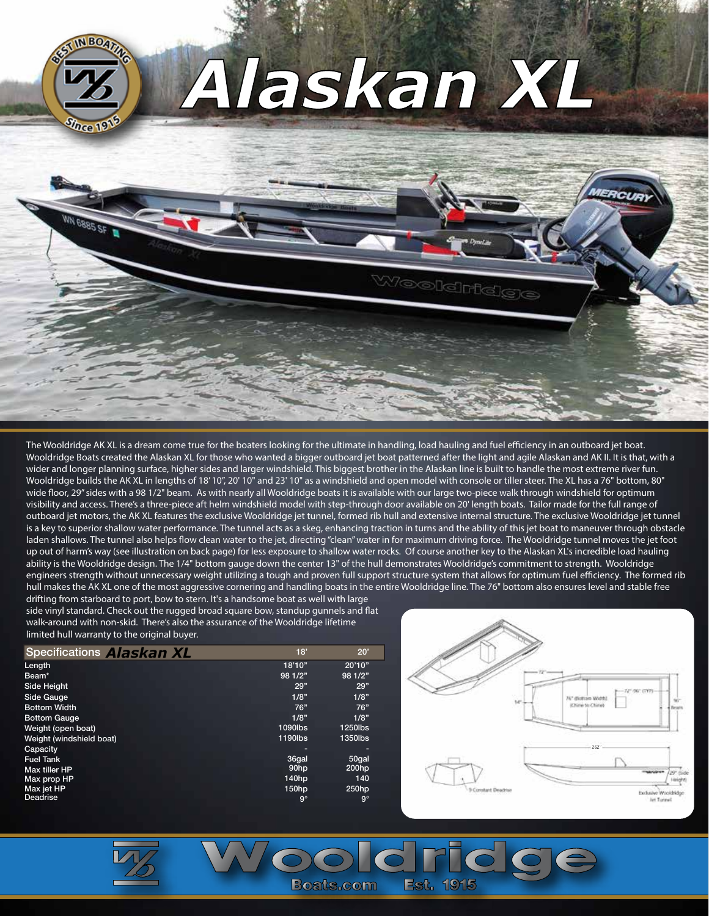

The Wooldridge AK XL is a dream come true for the boaters looking for the ultimate in handling, load hauling and fuel efficiency in an outboard jet boat. Wooldridge Boats created the Alaskan XL for those who wanted a bigger outboard jet boat patterned after the light and agile Alaskan and AK II. It is that, with a wider and longer planning surface, higher sides and larger windshield. This biggest brother in the Alaskan line is built to handle the most extreme river fun. Wooldridge builds the AK XL in lengths of 18' 10", 20' 10" and 23' 10" as a windshield and open model with console or tiller steer. The XL has a 76" bottom, 80" wide floor, 29" sides with a 98 1/2" beam. As with nearly all Wooldridge boats it is available with our large two-piece walk through windshield for optimum visibility and access. There's a three-piece aft helm windshield model with step-through door available on 20' length boats. Tailor made for the full range of outboard jet motors, the AK XL features the exclusive Wooldridge jet tunnel, formed rib hull and extensive internal structure. The exclusive Wooldridge jet tunnel is a key to superior shallow water performance. The tunnel acts as a skeg, enhancing traction in turns and the ability of this jet boat to maneuver through obstacle laden shallows. The tunnel also helps flow clean water to the jet, directing "clean" water in for maximum driving force. The Wooldridge tunnel moves the jet foot up out of harm's way (see illustration on back page) for less exposure to shallow water rocks. Of course another key to the Alaskan XL's incredible load hauling ability is the Wooldridge design. The 1/4" bottom gauge down the center 13" of the hull demonstrates Wooldridge's commitment to strength. Wooldridge engineers strength without unnecessary weight utilizing a tough and proven full support structure system that allows for optimum fuel efficiency. The formed rib hull makes the AK XL one of the most aggressive cornering and handling boats in the entire Wooldridge line. The 76" bottom also ensures level and stable free

drifting from starboard to port, bow to stern. It's a handsome boat as well with large side vinyl standard. Check out the rugged broad square bow, standup gunnels and flat walk-around with non-skid. There's also the assurance of the Wooldridge lifetime limited hull warranty to the original buyer.

| <b>Specifications Alaskan XL</b> | 18'       | 20'       |
|----------------------------------|-----------|-----------|
| Length                           | 18'10"    | 20'10"    |
| Beam*                            | 98 1/2"   | 98 1/2"   |
| Side Height                      | 29"       | 29"       |
| Side Gauge                       | 1/8"      | 1/8"      |
| <b>Bottom Width</b>              | 76"       | 76"       |
| <b>Bottom Gauge</b>              | 1/8"      | 1/8"      |
| Weight (open boat)               | 1090lbs   | 1250lbs   |
| Weight (windshield boat)         | 1190lbs   | 1350lbs   |
| Capacity                         |           |           |
| <b>Fuel Tank</b>                 | 36gal     | 50gal     |
| Max tiller HP                    | 90hp      | 200hp     |
| Max prop HP                      | 140hp     | 140       |
| Max jet HP                       | 150hp     | 250hp     |
| Deadrise                         | $9^\circ$ | $9^\circ$ |